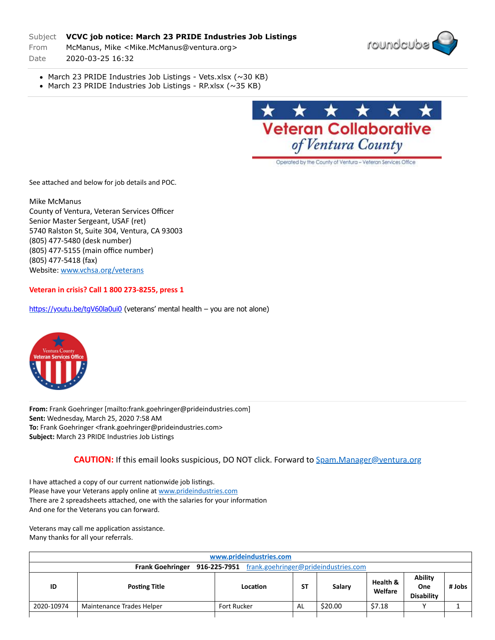## Subject **VCVC job notice: March 23 PRIDE Industries Job Listings**

From McManus, Mike <Mike.McManus@ventura.org>

Date 2020-03-25 16:32



- March 23 PRIDE Industries Job Listings Vets.xlsx (~30 KB)
- March 23 PRIDE Industries Job Listings RP.xlsx  $(\sim]35$  KB)



Operated by the County of Ventura - Veteran Services Office

See attached and below for job details and POC.

Mike McManus County of Ventura, Veteran Services Officer Senior Master Sergeant, USAF (ret) 5740 Ralston St, Suite 304, Ventura, CA 93003 (805) 477-5480 (desk number) (805) 477-5155 (main office number) (805) 477-5418 (fax) Website: [www.vchsa.org/veterans](http://secure-web.cisco.com/1PZ-Gz-n9oOw5Yu0qLptTYOr8sCJNtrNZI2BTfb2hHgid-Km6fRUCjkU6nyja1e5t2vVeBC_SCP2jO4r1VdNcHdfrCHAhNNunbUO-6QWspAkFKVxQwS9SiuWk65QDJbGPEFJNr_lU43LAaMRcfPomisIEqWlP_22UobVwdHuju3b5mRWPD8EVw0ZtwuRal9MhQVMfyjVW0MnW9ilXaE6dS6PqQ0IkyDCTWsTS67J-TcvcaQuVEjthgsv4AjGMjVtsR-aWGVkwZRiG7Qs4fd3ckUQoVB-3-NtAas8vO8KAwxg8deZWeyiwXSdJSqQp9cSllvSvdyPC5-jz_8XJ6tFoHOP2cYpEC2V0qQfvj-mwgxmFoJJ7bW355foPkXb0NszBthW0SSN0GQHLd2l8LJjIdEWiLy9rnYkXzJjqbhx4LX52oaMQ-LhXZFGfH3dWNY-sJazfKMqvBDUsCNS1q20R5tb-6qps_RfvsWYm1gUc8_uRhqigljPd0341eeb7Dcwo/http%3A%2F%2Fwww.vchsa.org%2Fveterans)

## **Veteran in crisis? Call 1 800 273-8255, press 1**

<https://youtu.be/tgV60la0ui0>(veterans' mental health – you are not alone)



**From:** Frank Goehringer [mailto:frank.goehringer@prideindustries.com] **Sent:** Wednesday, March 25, 2020 7:58 AM **To:** Frank Goehringer <frank.goehringer@prideindustries.com> **Subject:** March 23 PRIDE Industries Job Listings

## **CAUTION:** If this email looks suspicious, DO NOT click. Forward to [Spam.Manager@ventura.org](mailto:Spam.Manager@ventura.org)

I have attached a copy of our current nationwide job listings. Please have your Veterans apply online at [www.prideindustries.com](http://www.prideindustries.com/) There are 2 spreadsheets attached, one with the salaries for your information And one for the Veterans you can forward.

Veterans may call me application assistance. Many thanks for all your referrals.

| www.prideindustries.com                                            |                           |                    |           |         |                     |                                            |        |  |  |
|--------------------------------------------------------------------|---------------------------|--------------------|-----------|---------|---------------------|--------------------------------------------|--------|--|--|
| Frank Goehringer 916-225-7951 frank.goehringer@prideindustries.com |                           |                    |           |         |                     |                                            |        |  |  |
| ID                                                                 | <b>Posting Title</b>      | Location           | <b>ST</b> | Salary  | Health &<br>Welfare | <b>Ability</b><br>One<br><b>Disability</b> | # Jobs |  |  |
| 2020-10974                                                         | Maintenance Trades Helper | <b>Fort Rucker</b> | AL        | \$20.00 | \$7.18              |                                            |        |  |  |
|                                                                    |                           |                    |           |         |                     |                                            |        |  |  |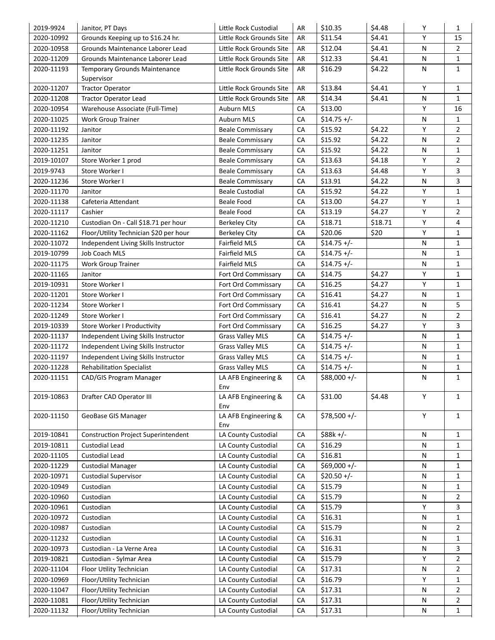| 2019-9924                | Janitor, PT Days                                   | Little Rock Custodial       | AR | \$10.35       | \$4.48  | Υ      | $\mathbf{1}$   |
|--------------------------|----------------------------------------------------|-----------------------------|----|---------------|---------|--------|----------------|
| 2020-10992               | Grounds Keeping up to \$16.24 hr.                  | Little Rock Grounds Site    | AR | \$11.54       | \$4.41  | Y      | 15             |
| 2020-10958               | Grounds Maintenance Laborer Lead                   | Little Rock Grounds Site    | AR | \$12.04       | \$4.41  | N      | $\overline{2}$ |
| 2020-11209               | Grounds Maintenance Laborer Lead                   | Little Rock Grounds Site    | AR | \$12.33       | \$4.41  | N      | 1              |
| 2020-11193               | <b>Temporary Grounds Maintenance</b><br>Supervisor | Little Rock Grounds Site    | AR | \$16.29       | \$4.22  | N      | $\mathbf{1}$   |
| 2020-11207               | <b>Tractor Operator</b>                            | Little Rock Grounds Site    | AR | \$13.84       | \$4.41  | Y      | $\mathbf{1}$   |
| 2020-11208               | <b>Tractor Operator Lead</b>                       | Little Rock Grounds Site    | AR | \$14.34       | \$4.41  | N      | $\mathbf{1}$   |
| 2020-10954               | Warehouse Associate (Full-Time)                    | <b>Auburn MLS</b>           | CA | \$13.00       |         | Y      | 16             |
| 2020-11025               | <b>Work Group Trainer</b>                          | <b>Auburn MLS</b>           | CA | $$14.75 +/-$  |         | N      | $\mathbf{1}$   |
| 2020-11192               | Janitor                                            | <b>Beale Commissary</b>     | CA | \$15.92       | \$4.22  | Y      | $\overline{2}$ |
| 2020-11235               | Janitor                                            | <b>Beale Commissary</b>     | СA | \$15.92       | \$4.22  | N      | $\overline{2}$ |
| 2020-11251               | Janitor                                            | <b>Beale Commissary</b>     | CA | \$15.92       | \$4.22  | N      | $\mathbf{1}$   |
| 2019-10107               | Store Worker 1 prod                                | <b>Beale Commissary</b>     | CA | \$13.63       | \$4.18  | Y      | 2              |
| 2019-9743                | Store Worker I                                     | <b>Beale Commissary</b>     | CA | \$13.63       | \$4.48  | Y      | 3              |
| 2020-11236               | Store Worker I                                     | Beale Commissary            | CA | \$13.91       | \$4.22  | N      | 3              |
| 2020-11170               | Janitor                                            | <b>Beale Custodial</b>      | СA | \$15.92       | \$4.22  | Y      | $\mathbf{1}$   |
| 2020-11138               | Cafeteria Attendant                                | <b>Beale Food</b>           | CA | \$13.00       | \$4.27  | Y      | 1              |
| 2020-11117               | Cashier                                            | <b>Beale Food</b>           | CA | \$13.19       | \$4.27  | Y      | $\overline{2}$ |
| 2020-11210               | Custodian On - Call \$18.71 per hour               | <b>Berkeley City</b>        | СA | \$18.71       | \$18.71 | Υ      | 4              |
| 2020-11162               | Floor/Utility Technician \$20 per hour             | <b>Berkeley City</b>        | CA | \$20.06       | \$20    | Y      | $\mathbf{1}$   |
| 2020-11072               | Independent Living Skills Instructor               | <b>Fairfield MLS</b>        | CA | $$14.75 +/-$  |         | N      | 1              |
| 2019-10799               | Job Coach MLS                                      | <b>Fairfield MLS</b>        | СA | $$14.75 +/-$  |         | N      | $\mathbf{1}$   |
|                          |                                                    |                             | CA |               |         |        | $\mathbf{1}$   |
| 2020-11175               | <b>Work Group Trainer</b>                          | <b>Fairfield MLS</b>        |    | $$14.75 +/-$  |         | N<br>Y |                |
| 2020-11165               | Janitor                                            | Fort Ord Commissary         | CA | \$14.75       | \$4.27  |        | $\mathbf{1}$   |
| 2019-10931               | Store Worker I                                     | Fort Ord Commissary         | CA | \$16.25       | \$4.27  | Y      | $\mathbf 1$    |
| 2020-11201               | Store Worker I                                     | Fort Ord Commissary         | CA | \$16.41       | \$4.27  | N      | $\mathbf{1}$   |
| 2020-11234               | Store Worker I                                     | Fort Ord Commissary         | CA | \$16.41       | \$4.27  | N      | 5              |
| 2020-11249               | Store Worker I                                     | Fort Ord Commissary         | CA | \$16.41       | \$4.27  | N      | $\overline{2}$ |
| 2019-10339               | Store Worker I Productivity                        | Fort Ord Commissary         | CA | \$16.25       | \$4.27  | Y      | 3              |
| 2020-11137               | Independent Living Skills Instructor               | <b>Grass Valley MLS</b>     | CA | $$14.75 +/-$  |         | N      | 1              |
| 2020-11172               | Independent Living Skills Instructor               | <b>Grass Valley MLS</b>     | CA | $$14.75 +/-$  |         | N      | $\mathbf{1}$   |
| 2020-11197               | Independent Living Skills Instructor               | <b>Grass Valley MLS</b>     | CA | $$14.75 +/-$  |         | N      | 1              |
| 2020-11228               | <b>Rehabilitation Specialist</b>                   | <b>Grass Valley MLS</b>     | CA | $$14.75 +/-$  |         | N      | $\mathbf{1}$   |
| 2020-11151               | CAD/GIS Program Manager                            | LA AFB Engineering &<br>Env | CA | $$88,000 +/-$ |         | N      | $\mathbf{1}$   |
| 2019-10863               | Drafter CAD Operator III                           | LA AFB Engineering &<br>Env | CA | \$31.00       | \$4.48  | Y      | 1              |
| 2020-11150               | GeoBase GIS Manager                                | LA AFB Engineering &<br>Env | CA | $$78,500 +/-$ |         | Y      | $\mathbf{1}$   |
| 2019-10841               | <b>Construction Project Superintendent</b>         | LA County Custodial         | CA | $$88k +/-$    |         | N      | $\mathbf{1}$   |
| 2019-10811               | Custodial Lead                                     | LA County Custodial         | CA | \$16.29       |         | Ν      | 1              |
| 2020-11105               | Custodial Lead                                     | LA County Custodial         | CA | \$16.81       |         | N      | 1              |
| 2020-11229               | <b>Custodial Manager</b>                           | LA County Custodial         | CA | $$69,000 +/-$ |         | N      | 1              |
| 2020-10971               | <b>Custodial Supervisor</b>                        | LA County Custodial         | CA | $$20.50 +/-$  |         | N      | 1              |
| 2020-10949               | Custodian                                          | LA County Custodial         | CA | \$15.79       |         | N      | 1              |
| 2020-10960               | Custodian                                          | LA County Custodial         | CA | \$15.79       |         | N      | $\overline{2}$ |
| 2020-10961               | Custodian                                          | LA County Custodial         | CA | \$15.79       |         | Y      | 3              |
| 2020-10972               | Custodian                                          | LA County Custodial         | CA | \$16.31       |         | N      | $\mathbf{1}$   |
| 2020-10987               | Custodian                                          | LA County Custodial         | CA | \$15.79       |         | N      | 2              |
| 2020-11232               | Custodian                                          | LA County Custodial         | CA | \$16.31       |         | N      | 1              |
| 2020-10973               | Custodian - La Verne Area                          | LA County Custodial         | CA | \$16.31       |         | N      | 3              |
| 2019-10821               | Custodian - Sylmar Area                            | LA County Custodial         | CA | \$15.79       |         | Y      | $\overline{2}$ |
| 2020-11104               | Floor Utility Technician                           | LA County Custodial         | CA | \$17.31       |         | Ν      | $\overline{2}$ |
|                          |                                                    |                             | CA | \$16.79       |         | Y      | $\mathbf{1}$   |
| 2020-10969               | Floor/Utility Technician                           | LA County Custodial         |    |               |         |        |                |
|                          | Floor/Utility Technician                           | LA County Custodial         | CA | \$17.31       |         | N      | $\overline{2}$ |
| 2020-11047<br>2020-11081 | Floor/Utility Technician                           | LA County Custodial         | CA | \$17.31       |         | N      | $\overline{2}$ |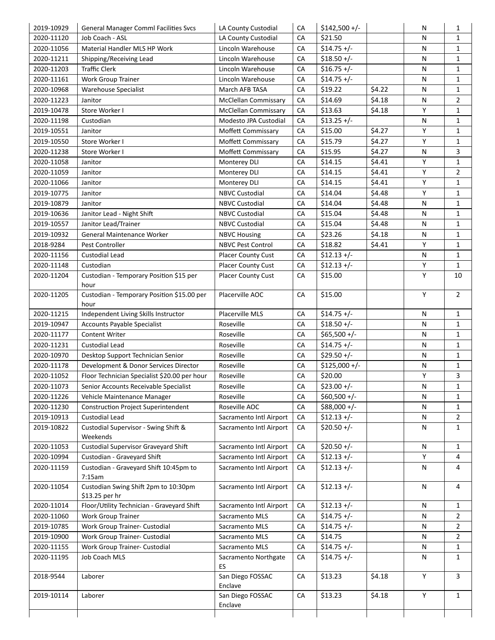| 2019-10929 | <b>General Manager Comml Facilities Svcs</b>       | LA County Custodial         | CA | $$142,500 +/-$ |        | N |                                                                                                                                                                                                                                                                                                                                                                                                                                                                                                                                              |
|------------|----------------------------------------------------|-----------------------------|----|----------------|--------|---|----------------------------------------------------------------------------------------------------------------------------------------------------------------------------------------------------------------------------------------------------------------------------------------------------------------------------------------------------------------------------------------------------------------------------------------------------------------------------------------------------------------------------------------------|
| 2020-11120 | Job Coach - ASL                                    | LA County Custodial         | CA | \$21.50        |        | N |                                                                                                                                                                                                                                                                                                                                                                                                                                                                                                                                              |
| 2020-11056 | Material Handler MLS HP Work                       | Lincoln Warehouse           | CA | $$14.75 +/-$   |        | N |                                                                                                                                                                                                                                                                                                                                                                                                                                                                                                                                              |
| 2020-11211 | Shipping/Receiving Lead                            | Lincoln Warehouse           | CA | $$18.50 +/-$   |        | N |                                                                                                                                                                                                                                                                                                                                                                                                                                                                                                                                              |
| 2020-11203 | <b>Traffic Clerk</b>                               | Lincoln Warehouse           | CA | $$16.75 +/-$   |        | N |                                                                                                                                                                                                                                                                                                                                                                                                                                                                                                                                              |
| 2020-11161 | <b>Work Group Trainer</b>                          | Lincoln Warehouse           | СA | $$14.75 +/-$   |        | N |                                                                                                                                                                                                                                                                                                                                                                                                                                                                                                                                              |
| 2020-10968 | <b>Warehouse Specialist</b>                        | March AFB TASA              | CA | \$19.22        | \$4.22 | N |                                                                                                                                                                                                                                                                                                                                                                                                                                                                                                                                              |
| 2020-11223 | Janitor                                            | <b>McClellan Commissary</b> | CA | \$14.69        | \$4.18 | N |                                                                                                                                                                                                                                                                                                                                                                                                                                                                                                                                              |
| 2019-10478 | Store Worker I                                     | McClellan Commissary        | CA | \$13.63        | \$4.18 | Y |                                                                                                                                                                                                                                                                                                                                                                                                                                                                                                                                              |
| 2020-11198 | Custodian                                          | Modesto JPA Custodial       | СA | $$13.25 +/-$   |        | N |                                                                                                                                                                                                                                                                                                                                                                                                                                                                                                                                              |
| 2019-10551 | Janitor                                            | Moffett Commissary          | CA | \$15.00        | \$4.27 | Υ |                                                                                                                                                                                                                                                                                                                                                                                                                                                                                                                                              |
| 2019-10550 | Store Worker I                                     | Moffett Commissary          | CA | \$15.79        | \$4.27 | Υ |                                                                                                                                                                                                                                                                                                                                                                                                                                                                                                                                              |
| 2020-11238 | Store Worker I                                     | Moffett Commissary          | CA | \$15.95        | \$4.27 | N |                                                                                                                                                                                                                                                                                                                                                                                                                                                                                                                                              |
| 2020-11058 | Janitor                                            | Monterey DLI                | CA | \$14.15        | \$4.41 | Υ |                                                                                                                                                                                                                                                                                                                                                                                                                                                                                                                                              |
| 2020-11059 | Janitor                                            | Monterey DLI                | CA | \$14.15        | \$4.41 | Y |                                                                                                                                                                                                                                                                                                                                                                                                                                                                                                                                              |
| 2020-11066 | Janitor                                            | Monterey DLI                | CA | \$14.15        | \$4.41 | Υ |                                                                                                                                                                                                                                                                                                                                                                                                                                                                                                                                              |
| 2019-10775 | Janitor                                            | <b>NBVC Custodial</b>       | CA | \$14.04        | \$4.48 | Y |                                                                                                                                                                                                                                                                                                                                                                                                                                                                                                                                              |
| 2019-10879 | Janitor                                            | <b>NBVC Custodial</b>       | CA | \$14.04        | \$4.48 | N |                                                                                                                                                                                                                                                                                                                                                                                                                                                                                                                                              |
| 2019-10636 | Janitor Lead - Night Shift                         | <b>NBVC Custodial</b>       | CA | \$15.04        | \$4.48 | N |                                                                                                                                                                                                                                                                                                                                                                                                                                                                                                                                              |
| 2019-10557 | Janitor Lead/Trainer                               | <b>NBVC Custodial</b>       | CA | \$15.04        | \$4.48 | N |                                                                                                                                                                                                                                                                                                                                                                                                                                                                                                                                              |
| 2019-10932 | General Maintenance Worker                         | <b>NBVC Housing</b>         | СA | \$23.26        | \$4.18 | N |                                                                                                                                                                                                                                                                                                                                                                                                                                                                                                                                              |
| 2018-9284  | Pest Controller                                    | <b>NBVC Pest Control</b>    | CA | \$18.82        | \$4.41 | Υ |                                                                                                                                                                                                                                                                                                                                                                                                                                                                                                                                              |
| 2020-11156 | Custodial Lead                                     | <b>Placer County Cust</b>   | CA | $$12.13 +/-$   |        | N |                                                                                                                                                                                                                                                                                                                                                                                                                                                                                                                                              |
| 2020-11148 | Custodian                                          | Placer County Cust          | CA | $$12.13 +/-$   |        | Υ |                                                                                                                                                                                                                                                                                                                                                                                                                                                                                                                                              |
|            | Custodian - Temporary Position \$15 per            | Placer County Cust          | СA | \$15.00        |        | Y |                                                                                                                                                                                                                                                                                                                                                                                                                                                                                                                                              |
| 2020-11204 | hour                                               |                             |    |                |        |   |                                                                                                                                                                                                                                                                                                                                                                                                                                                                                                                                              |
| 2020-11205 | Custodian - Temporary Position \$15.00 per<br>hour | Placerville AOC             | CA | \$15.00        |        | Υ |                                                                                                                                                                                                                                                                                                                                                                                                                                                                                                                                              |
| 2020-11215 | Independent Living Skills Instructor               | Placerville MLS             | CA | $$14.75 +/-$   |        | N |                                                                                                                                                                                                                                                                                                                                                                                                                                                                                                                                              |
| 2019-10947 | <b>Accounts Payable Specialist</b>                 | Roseville                   | CA | $$18.50 +/-$   |        | N |                                                                                                                                                                                                                                                                                                                                                                                                                                                                                                                                              |
| 2020-11177 | <b>Content Writer</b>                              | Roseville                   | CA | $$65,500 +/-$  |        | N |                                                                                                                                                                                                                                                                                                                                                                                                                                                                                                                                              |
| 2020-11231 | <b>Custodial Lead</b>                              | Roseville                   | CA | $$14.75 +/-$   |        | N |                                                                                                                                                                                                                                                                                                                                                                                                                                                                                                                                              |
| 2020-10970 | Desktop Support Technician Senior                  | Roseville                   | CA | $$29.50 +/-$   |        | N |                                                                                                                                                                                                                                                                                                                                                                                                                                                                                                                                              |
| 2020-11178 | Development & Donor Services Director              | Roseville                   | CA | $$125,000 +/-$ |        | N |                                                                                                                                                                                                                                                                                                                                                                                                                                                                                                                                              |
| 2020-11052 | Floor Technician Specialist \$20.00 per hour       | Roseville                   | CA | \$20.00        |        | Υ |                                                                                                                                                                                                                                                                                                                                                                                                                                                                                                                                              |
| 2020-11073 | Senior Accounts Receivable Specialist              | Roseville                   | CA | $$23.00 +/-$   |        | N |                                                                                                                                                                                                                                                                                                                                                                                                                                                                                                                                              |
| 2020-11226 | Vehicle Maintenance Manager                        | Roseville                   | CA | $$60,500 +/-$  |        | N |                                                                                                                                                                                                                                                                                                                                                                                                                                                                                                                                              |
| 2020-11230 | <b>Construction Project Superintendent</b>         | Roseville AOC               | CA | $$88,000 +/-$  |        | N |                                                                                                                                                                                                                                                                                                                                                                                                                                                                                                                                              |
| 2019-10913 | Custodial Lead                                     | Sacramento Intl Airport     | CA | $$12.13 +/-$   |        | N |                                                                                                                                                                                                                                                                                                                                                                                                                                                                                                                                              |
| 2019-10822 | Custodial Supervisor - Swing Shift &<br>Weekends   | Sacramento Intl Airport     | CA | $$20.50 +/-$   |        | N |                                                                                                                                                                                                                                                                                                                                                                                                                                                                                                                                              |
| 2020-11053 | Custodial Supervisor Graveyard Shift               | Sacramento Intl Airport     | CA | $$20.50 +/-$   |        | N |                                                                                                                                                                                                                                                                                                                                                                                                                                                                                                                                              |
| 2020-10994 | Custodian - Graveyard Shift                        | Sacramento Intl Airport     | CA | $$12.13 +/-$   |        | Y |                                                                                                                                                                                                                                                                                                                                                                                                                                                                                                                                              |
| 2020-11159 | Custodian - Graveyard Shift 10:45pm to             | Sacramento Intl Airport     | CA | $$12.13 +/-$   |        | N |                                                                                                                                                                                                                                                                                                                                                                                                                                                                                                                                              |
| 2020-11054 | 7:15am<br>Custodian Swing Shift 2pm to 10:30pm     | Sacramento Intl Airport     | CA | $$12.13 +/-$   |        | N |                                                                                                                                                                                                                                                                                                                                                                                                                                                                                                                                              |
|            | \$13.25 per hr                                     |                             |    |                |        |   | 1<br>$\mathbf{1}$<br>1<br>1<br>$\mathbf{1}$<br>$\mathbf{1}$<br>$\mathbf{1}$<br>$\overline{2}$<br>$\mathbf{1}$<br>1<br>$\mathbf{1}$<br>1<br>3<br>1<br>$\overline{2}$<br>$\mathbf{1}$<br>$\mathbf{1}$<br>1<br>1<br>$\mathbf{1}$<br>1<br>1<br>$\mathbf{1}$<br>$\mathbf{1}$<br>10<br>$\overline{2}$<br>$\mathbf{1}$<br>$\mathbf{1}$<br>1<br>1<br>1<br>1<br>3<br>$\mathbf 1$<br>$\mathbf{1}$<br>1<br>$\overline{2}$<br>1<br>1<br>4<br>4<br>4<br>1<br>$\overline{2}$<br>$\overline{2}$<br>$\overline{2}$<br>$\mathbf{1}$<br>1<br>3<br>$\mathbf{1}$ |
| 2020-11014 | Floor/Utility Technician - Graveyard Shift         | Sacramento Intl Airport     | CA | $$12.13 +/-$   |        | N |                                                                                                                                                                                                                                                                                                                                                                                                                                                                                                                                              |
| 2020-11060 | <b>Work Group Trainer</b>                          | Sacramento MLS              | CA | $$14.75 +/-$   |        | N |                                                                                                                                                                                                                                                                                                                                                                                                                                                                                                                                              |
| 2019-10785 | Work Group Trainer- Custodial                      | Sacramento MLS              | CA | $$14.75 +/-$   |        | N |                                                                                                                                                                                                                                                                                                                                                                                                                                                                                                                                              |
| 2019-10900 | Work Group Trainer- Custodial                      | Sacramento MLS              | CA | \$14.75        |        | N |                                                                                                                                                                                                                                                                                                                                                                                                                                                                                                                                              |
| 2020-11155 | Work Group Trainer- Custodial                      | Sacramento MLS              | CA | $$14.75 +/-$   |        | N |                                                                                                                                                                                                                                                                                                                                                                                                                                                                                                                                              |
| 2020-11195 | Job Coach MLS                                      | Sacramento Northgate<br>ES  | CA | $$14.75 +/-$   |        | N |                                                                                                                                                                                                                                                                                                                                                                                                                                                                                                                                              |
| 2018-9544  | Laborer                                            | San Diego FOSSAC<br>Enclave | CA | \$13.23        | \$4.18 | Υ |                                                                                                                                                                                                                                                                                                                                                                                                                                                                                                                                              |
| 2019-10114 | Laborer                                            | San Diego FOSSAC            | CA | \$13.23        | \$4.18 | Y |                                                                                                                                                                                                                                                                                                                                                                                                                                                                                                                                              |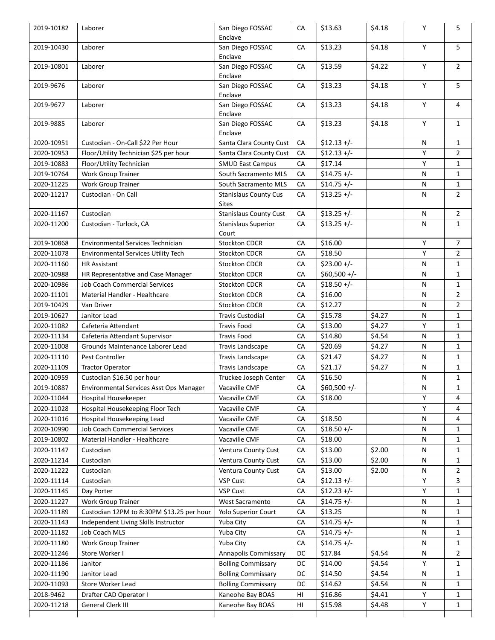| 2019-10182               | Laborer                                                               | San Diego FOSSAC                             | CA       | \$13.63            | \$4.18           | Υ      | 5                            |
|--------------------------|-----------------------------------------------------------------------|----------------------------------------------|----------|--------------------|------------------|--------|------------------------------|
|                          |                                                                       | Enclave                                      |          |                    |                  |        |                              |
| 2019-10430               | Laborer                                                               | San Diego FOSSAC                             | CA       | \$13.23            | \$4.18           | Y      | 5                            |
|                          |                                                                       | Enclave                                      |          |                    |                  |        |                              |
| 2019-10801               | Laborer                                                               | San Diego FOSSAC<br>Enclave                  | CA       | \$13.59            | \$4.22           | Y      | $\overline{2}$               |
| 2019-9676                | Laborer                                                               | San Diego FOSSAC                             | CA       | \$13.23            | \$4.18           | Y      | 5                            |
| 2019-9677                | Laborer                                                               | Enclave<br>San Diego FOSSAC                  | CA       | \$13.23            | \$4.18           | Y      | 4                            |
|                          |                                                                       | Enclave                                      |          |                    | \$4.18           |        |                              |
| 2019-9885                | Laborer                                                               | San Diego FOSSAC<br>Enclave                  | CA       | \$13.23            |                  | Υ      | $\mathbf{1}$                 |
| 2020-10951               | Custodian - On-Call \$22 Per Hour                                     | Santa Clara County Cust                      | CA       | $$12.13 +/-$       |                  | N      | $\mathbf{1}$                 |
| 2020-10953               | Floor/Utility Technician \$25 per hour                                | Santa Clara County Cust                      | CA       | $$12.13 +/-$       |                  | Υ      | $\overline{2}$               |
| 2019-10883               | Floor/Utility Technician                                              | <b>SMUD East Campus</b>                      | CA       | \$17.14            |                  | Y      | $\mathbf{1}$                 |
| 2019-10764               | Work Group Trainer                                                    | South Sacramento MLS                         | CA       | $$14.75 +/-$       |                  | N      | 1                            |
| 2020-11225               | Work Group Trainer                                                    | South Sacramento MLS                         | CA       | $$14.75 +/-$       |                  | N      | $\mathbf{1}$                 |
| 2020-11217               | Custodian - On Call                                                   | <b>Stanislaus County Cus</b><br><b>Sites</b> | CA       | $$13.25 +/-$       |                  | N      | $\overline{2}$               |
| 2020-11167               | Custodian                                                             | <b>Stanislaus County Cust</b>                | CA       | $$13.25 +/-$       |                  | N      | $\overline{2}$               |
| 2020-11200               | Custodian - Turlock, CA                                               | <b>Stanislaus Superior</b>                   | CA       | $$13.25 +/-$       |                  | N      | $\mathbf{1}$                 |
|                          |                                                                       | Court                                        |          |                    |                  |        |                              |
| 2019-10868               | Environmental Services Technician                                     | <b>Stockton CDCR</b>                         | CA       | \$16.00            |                  | Υ      | 7                            |
| 2020-11078               | Environmental Services Utility Tech                                   | Stockton CDCR                                | CA       | \$18.50            |                  | Υ      | $\overline{2}$               |
| 2020-11160               | <b>HR Assistant</b>                                                   | <b>Stockton CDCR</b>                         | CA       | $$23.00 +/-$       |                  | N      | $\mathbf{1}$                 |
| 2020-10988               | HR Representative and Case Manager                                    | Stockton CDCR                                | CA       | $$60,500 +/-$      |                  | N      | $\mathbf{1}$                 |
| 2020-10986               | <b>Job Coach Commercial Services</b>                                  | <b>Stockton CDCR</b>                         | CA       | $$18.50 +/-$       |                  | N      | $\mathbf{1}$                 |
| 2020-11101               | Material Handler - Healthcare                                         | <b>Stockton CDCR</b>                         | CA       | \$16.00            |                  | N      | $\overline{2}$               |
| 2019-10429               |                                                                       | <b>Stockton CDCR</b>                         | CA       | \$12.27            |                  |        | $\overline{2}$               |
|                          | Van Driver                                                            |                                              |          |                    |                  | N      |                              |
| 2019-10627               | Janitor Lead                                                          | <b>Travis Custodial</b>                      | CA       | \$15.78            | \$4.27<br>\$4.27 | N      | 1                            |
| 2020-11082               | Cafeteria Attendant                                                   | <b>Travis Food</b>                           | CA       | \$13.00            |                  | Y      | 1                            |
| 2020-11134               | Cafeteria Attendant Supervisor                                        | <b>Travis Food</b>                           | CA       | \$14.80            | \$4.54           | N      | $\mathbf{1}$                 |
| 2020-11008               | Grounds Maintenance Laborer Lead                                      | Travis Landscape                             | CA       | \$20.69            | \$4.27           | N      | $\mathbf{1}$                 |
| 2020-11110               | Pest Controller                                                       | Travis Landscape<br>Travis Landscape         | CA       | \$21.47            | \$4.27           | N      | $\mathbf 1$                  |
| 2020-11109<br>2020-10959 | <b>Tractor Operator</b>                                               | Truckee Joseph Center                        | CA<br>CA | \$21.17<br>\$16.50 | \$4.27           | N<br>N | $\mathbf{1}$<br>$\mathbf{1}$ |
| 2019-10887               | Custodian \$16.50 per hour<br>Environmental Services Asst Ops Manager | Vacaville CMF                                | CA       | $$60,500 +/-$      |                  | N      | 1                            |
| 2020-11044               | Hospital Housekeeper                                                  | Vacaville CMF                                | CA       | \$18.00            |                  | Y      | 4                            |
| 2020-11028               | Hospital Housekeeping Floor Tech                                      | Vacaville CMF                                | CA       |                    |                  | Y      | 4                            |
| 2020-11016               | Hospital Housekeeping Lead                                            | Vacaville CMF                                | CA       | \$18.50            |                  | N      | 4                            |
| 2020-10990               | Job Coach Commercial Services                                         | Vacaville CMF                                | CA       | $$18.50 +/-$       |                  | N      | 1                            |
| 2019-10802               | Material Handler - Healthcare                                         | Vacaville CMF                                | CA       | \$18.00            |                  | N      | $\mathbf{1}$                 |
| 2020-11147               | Custodian                                                             | Ventura County Cust                          | CA       | \$13.00            | \$2.00           | N      | 1                            |
| 2020-11214               | Custodian                                                             | Ventura County Cust                          | CA       | \$13.00            | \$2.00           | N      | 1                            |
| 2020-11222               | Custodian                                                             | Ventura County Cust                          | CA       | \$13.00            | \$2.00           | N      | 2                            |
| 2020-11114               | Custodian                                                             | <b>VSP Cust</b>                              | CA       | $$12.13 +/-$       |                  | Υ      | 3                            |
| 2020-11145               | Day Porter                                                            | <b>VSP Cust</b>                              | CA       | $$12.23 +/-$       |                  | Υ      | 1                            |
| 2020-11227               | <b>Work Group Trainer</b>                                             | West Sacramento                              | CA       | $$14.75 +/-$       |                  | N      | 1                            |
| 2020-11189               | Custodian 12PM to 8:30PM \$13.25 per hour                             | <b>Yolo Superior Court</b>                   | CA       | \$13.25            |                  | N      | 1                            |
| 2020-11143               | Independent Living Skills Instructor                                  | Yuba City                                    | CA       | $$14.75 +/-$       |                  | N      | 1                            |
| 2020-11182               | Job Coach MLS                                                         | Yuba City                                    | CA       | $$14.75 +/-$       |                  | N      | 1                            |
| 2020-11180               | Work Group Trainer                                                    | Yuba City                                    | CA       | $$14.75 +/-$       |                  | N      | 1                            |
| 2020-11246               | Store Worker I                                                        | <b>Annapolis Commissary</b>                  | DC       | \$17.84            | \$4.54           | N      | $\overline{2}$               |
| 2020-11186               | Janitor                                                               | <b>Bolling Commissary</b>                    | DC       | \$14.00            | \$4.54           | Y      | 1                            |
| 2020-11190               | Janitor Lead                                                          | <b>Bolling Commissary</b>                    | DC       | \$14.50            | \$4.54           | N      | 1                            |
| 2020-11093               | Store Worker Lead                                                     | <b>Bolling Commissary</b>                    | DC       | \$14.62            | \$4.54           | N      | 1                            |
|                          |                                                                       | Kaneohe Bay BOAS                             | HI       | \$16.86            | \$4.41           | Υ      | $\mathbf{1}$                 |
| 2018-9462                | Drafter CAD Operator I                                                |                                              |          |                    |                  |        |                              |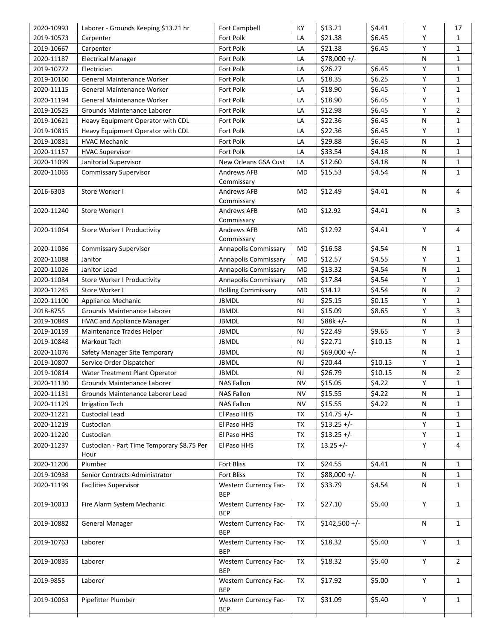| 2020-10993 | Laborer - Grounds Keeping \$13.21 hr       | <b>Fort Campbell</b>                       | KY        | \$13.21        | \$4.41  | Υ            | 17             |
|------------|--------------------------------------------|--------------------------------------------|-----------|----------------|---------|--------------|----------------|
| 2019-10573 | Carpenter                                  | Fort Polk                                  | LA        | \$21.38        | \$6.45  | Υ            | 1              |
| 2019-10667 | Carpenter                                  | Fort Polk                                  | LA        | \$21.38        | \$6.45  | Y            | $\mathbf{1}$   |
| 2020-11187 | <b>Electrical Manager</b>                  | Fort Polk                                  | LA        | \$78,000 +/-   |         | $\mathsf{N}$ | $\mathbf{1}$   |
| 2019-10772 | Electrician                                | Fort Polk                                  | LA        | \$26.27        | \$6.45  | Y            | $\mathbf{1}$   |
| 2019-10160 | General Maintenance Worker                 | Fort Polk                                  | LA        | \$18.35        | \$6.25  | Υ            | $\mathbf{1}$   |
| 2020-11115 | General Maintenance Worker                 | Fort Polk                                  | LA        | \$18.90        | \$6.45  | Υ            | $\mathbf{1}$   |
| 2020-11194 | General Maintenance Worker                 | Fort Polk                                  | LA        | \$18.90        | \$6.45  | Υ            | $\mathbf{1}$   |
| 2019-10525 | Grounds Maintenance Laborer                | Fort Polk                                  | LA        | \$12.98        | \$6.45  | Υ            | $\overline{2}$ |
| 2019-10621 | Heavy Equipment Operator with CDL          | Fort Polk                                  | LA        | \$22.36        | \$6.45  | $\mathsf{N}$ | $\mathbf{1}$   |
| 2019-10815 | Heavy Equipment Operator with CDL          | Fort Polk                                  | LA        | \$22.36        | \$6.45  | Υ            | 1              |
| 2019-10831 | <b>HVAC Mechanic</b>                       | Fort Polk                                  | LA        | \$29.88        | \$6.45  | N            | $\mathbf{1}$   |
| 2020-11157 | <b>HVAC Supervisor</b>                     | Fort Polk                                  | LA        | \$33.54        | \$4.18  | N            | $\mathbf{1}$   |
| 2020-11099 | Janitorial Supervisor                      | New Orleans GSA Cust                       | LA        | \$12.60        | \$4.18  | N            | $\mathbf{1}$   |
| 2020-11065 | <b>Commissary Supervisor</b>               | <b>Andrews AFB</b>                         | MD        | \$15.53        | \$4.54  | N            | 1              |
|            |                                            | Commissary                                 |           |                |         |              |                |
| 2016-6303  | Store Worker I                             | Andrews AFB                                | MD        | \$12.49        | \$4.41  | $\mathsf{N}$ | 4              |
|            |                                            | Commissary                                 |           |                |         |              |                |
| 2020-11240 | Store Worker I                             | Andrews AFB                                | MD        | \$12.92        | \$4.41  | N            | 3              |
|            |                                            | Commissary                                 |           | \$12.92        | \$4.41  | Y            | 4              |
| 2020-11064 | Store Worker I Productivity                | Andrews AFB<br>Commissary                  | MD        |                |         |              |                |
| 2020-11086 | <b>Commissary Supervisor</b>               | Annapolis Commissary                       | MD        | \$16.58        | \$4.54  | $\mathsf{N}$ | $\mathbf{1}$   |
| 2020-11088 | Janitor                                    | Annapolis Commissary                       | <b>MD</b> | \$12.57        | \$4.55  | Y            | $\mathbf{1}$   |
| 2020-11026 | Janitor Lead                               | Annapolis Commissary                       | MD        | \$13.32        | \$4.54  | ${\sf N}$    | $\mathbf{1}$   |
| 2020-11084 | Store Worker I Productivity                | Annapolis Commissary                       | MD        | \$17.84        | \$4.54  | Υ            | $\mathbf{1}$   |
| 2020-11245 | Store Worker I                             | <b>Bolling Commissary</b>                  | MD        | \$14.12        | \$4.54  | N            | $\overline{2}$ |
| 2020-11100 | Appliance Mechanic                         | <b>JBMDL</b>                               | <b>NJ</b> | \$25.15        | \$0.15  | Υ            | $\mathbf{1}$   |
| 2018-8755  | Grounds Maintenance Laborer                | <b>JBMDL</b>                               | <b>NJ</b> | \$15.09        | \$8.65  | Y            | 3              |
| 2019-10849 | <b>HVAC and Appliance Manager</b>          | <b>JBMDL</b>                               | <b>NJ</b> | $$88k +/-$     |         | $\mathsf{N}$ | $\mathbf{1}$   |
| 2019-10159 | Maintenance Trades Helper                  | <b>JBMDL</b>                               | <b>NJ</b> | \$22.49        | \$9.65  | Υ            | 3              |
| 2019-10848 | Markout Tech                               | <b>JBMDL</b>                               | <b>NJ</b> | \$22.71        | \$10.15 | $\mathsf{N}$ | $\mathbf{1}$   |
| 2020-11076 | Safety Manager Site Temporary              | <b>JBMDL</b>                               | <b>NJ</b> | $$69,000 +/-$  |         | $\mathsf{N}$ | 1              |
| 2019-10807 | Service Order Dispatcher                   | <b>JBMDL</b>                               | <b>NJ</b> | \$20.44        | \$10.15 | Υ            | $\mathbf{1}$   |
| 2019-10814 | Water Treatment Plant Operator             | <b>JBMDL</b>                               | <b>NJ</b> | \$26.79        | \$10.15 | $\mathsf{N}$ | $\overline{2}$ |
| 2020-11130 | Grounds Maintenance Laborer                | <b>NAS Fallon</b>                          | <b>NV</b> | \$15.05        | \$4.22  | Y            | 1              |
| 2020-11131 | Grounds Maintenance Laborer Lead           | <b>NAS Fallon</b>                          | <b>NV</b> | \$15.55        | \$4.22  | $\mathsf{N}$ | $\mathbf{1}$   |
| 2020-11129 | <b>Irrigation Tech</b>                     | <b>NAS Fallon</b>                          | NV        | \$15.55        | \$4.22  | N            | 1              |
| 2020-11221 | Custodial Lead                             | El Paso HHS                                | TX        | $$14.75 +/-$   |         | $\mathsf{N}$ | $\mathbf{1}$   |
| 2020-11219 | Custodian                                  | El Paso HHS                                | TX        | $$13.25 +/-$   |         | Υ            | 1              |
| 2020-11220 | Custodian                                  | El Paso HHS                                | TX        | $$13.25 +/-$   |         | Υ            | $\mathbf{1}$   |
| 2020-11237 | Custodian - Part Time Temporary \$8.75 Per | El Paso HHS                                | TX        | $13.25 +/-$    |         | Υ            | 4              |
|            | Hour                                       |                                            |           |                |         |              |                |
| 2020-11206 | Plumber                                    | Fort Bliss                                 | TX        | \$24.55        | \$4.41  | $\mathsf{N}$ | $\mathbf{1}$   |
| 2019-10938 | Senior Contracts Administrator             | <b>Fort Bliss</b>                          | TX        | $$88,000 +/-$  |         | N            | $\mathbf{1}$   |
| 2020-11199 | <b>Facilities Supervisor</b>               | <b>Western Currency Fac-</b><br><b>BEP</b> | TX        | \$33.79        | \$4.54  | N            | $\mathbf{1}$   |
| 2019-10013 | Fire Alarm System Mechanic                 | <b>Western Currency Fac-</b><br><b>BEP</b> | TX        | \$27.10        | \$5.40  | Υ            | $\mathbf{1}$   |
| 2019-10882 | <b>General Manager</b>                     | <b>Western Currency Fac-</b><br><b>BEP</b> | TX        | $$142,500 +/-$ |         | N            | $\mathbf{1}$   |
| 2019-10763 | Laborer                                    | <b>Western Currency Fac-</b><br><b>BEP</b> | TX        | \$18.32        | \$5.40  | Υ            | $\mathbf{1}$   |
| 2019-10835 | Laborer                                    | <b>Western Currency Fac-</b><br><b>BEP</b> | TX        | \$18.32        | \$5.40  | Υ            | $\overline{2}$ |
| 2019-9855  | Laborer                                    | <b>Western Currency Fac-</b><br><b>BEP</b> | TX        | \$17.92        | \$5.00  | Υ            | $\mathbf{1}$   |
| 2019-10063 | Pipefitter Plumber                         | <b>Western Currency Fac-</b><br><b>BEP</b> | TX        | \$31.09        | \$5.40  | Υ            | $\mathbf{1}$   |
|            |                                            |                                            |           |                |         |              |                |